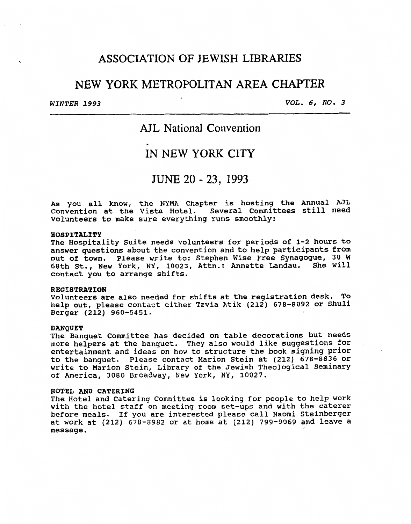## . **ASSOCIATION** OF JEWISH LIBRARIES

# NEW YORK METROPOLITAN **AREA** CHAPTER

*WINTER 1993 VOL. 6, NO.* **3** 

# **AJL** National Convention

# IN NEW YORK **CITY**

# JUNE 20 - **23, 1993**

**As you all know, the NYMA Chapter is hosting the Annual AJL Convention at the Vista Hotel. Several Committees still need volunteers to make sure everything runs smoothly:** 

#### **HOSPITALITY**

**The Hospitality Suite needs volunteers for periods of 1-2 hours to answer questions about the convention and to help participants from out of town. Please write to: Stephen Wise Free Synagogue, 30 W 68th St., New York, NY, 10023, Attn.: Annette Landau. She will contact you to arrange shifts.** 

## **REGIBTRATION**

**Volunteers are also needed** for **shifts at the registration desk. To help out, please contact either Tzvia Atik (212) 678-8092 or Shuli Berger (212) 960-5451.** 

#### **BANQUET**

**The Banquet Committee has decided on table decorations but needs more helpers at the banquet. They also would like suggestions for entertainment and ideas on how to structure the book signing prior to the banquet. Please contact Marion Stein at (212) 678-8836 or write to Marion Stein, Library of the Jewish Theological Seminary of America, 3080 Broadway, New York, NY, 10027.** 

#### **HOTEL AND CATERING**

**The Hotel and Catering Committee is looking for people to help work with the hotel staff on meeting room set-ups and with the caterer before meals. If you are interested please call Naomi Steinberger at work at (212) 678-8982 or at home at (212) 799-9069 and leave a message.**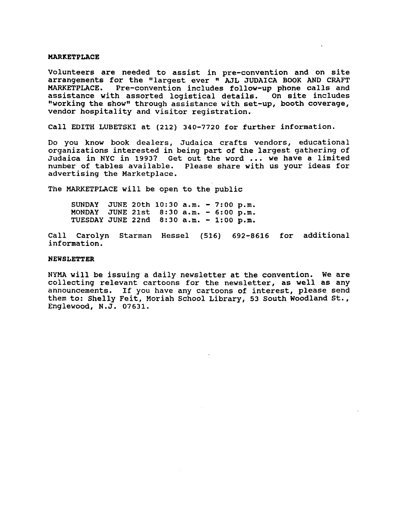#### **MARKETPLACE**

**Volunteers are needed to assist in pre-convention and on site arrangements for the "largest ever** ATL **JUDAICA BOOK AND CRAFT**  Pre-convention includes follow-up phone calls and **assistance with assorted logistical details. On site includes**  "working the show" through assistance with set-up, booth coverage, **vendor hospitality and visitor registration.** 

**Call EDITH LUBETSKI at (212) 340-7720 for further information.** 

**Do you know book dealers, Judaica crafts vendors, educational organizations interested in being part of the largest gathering of Judaica in NYC in 1993? Get out the word** ... **we have a limited number of tables available. Please share with us your ideas for advertising the Marketplace.** 

**The MARKETPLACE will be open to the public** 

**SUNDAY JUNE 20th 10:30 a.m.** - *7:OO* **p.m. MONDAY JUNE 21st 8:30 a.m.** - *6:OO* **p.m. TUESDAY JUNE 22nd 8:30 a.m.** - **1:00 p.m.** 

**Call Carolyn Starman Hessel (516) 692-8616 for additional information.** 

#### **NEWSLETTER**

NYMA **will be issuing a daily newsletter at the convention. We are collecting relevant cartoons** for **the newsletter, as well as any announcements. If you have any cartoons of interest, please send them to: Shelly Feit, Moriah School Library, 53 South Woodland St.** *<sup>I</sup>* **Englewood, N.J. 07631.**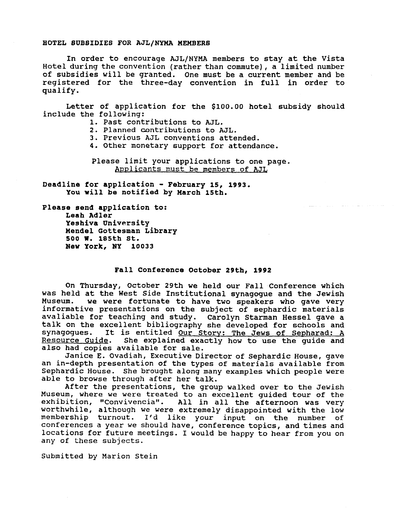### **HOTEL SUBSIDIES FOR AJL/NYMA XEMBERB**

In order to encourage **AJL/NYMA** members to stay at the Vista Hotel during the convention (rather than commute), a limited number of subsidies will be granted. One must be a current member and be registered for the three-day convention in full in order to qualify.

Letter of application for the \$100.00 hotel subsidy should include the following:

- **1.** Past contributions to **ML.**
- 2. Planned contributions to **AJL.**
- **3.** Previous AJL conventions attended.
- **4.** Other monetary support for attendance.

Please limit your applications to one page. Applicants must be members of AJL

المنافعات والمتسادات والمتناول والمتفقد

**Deadline for application** - **February 15, 1993. You will be notified by March 15th.** 

**Please send application to: Leah Adler Yeshiva University Mendel Gottesman Library New York,** *NY* **10033**  *500* **19. 185th St.** 

## **Fall Conference October 29th, 1992**

On Thursday, October 29th we held our Fall Conference which was held at the West Side Institutional synagogue and the Jewish<br>Museum. We were fortunate to have two speakers who gave very we were fortunate to have two speakers who gave very informative presentations on the subject of sephardic materials avaliable for teaching and study. Carolyn Starman Hessel gave **a**  talk on the excellent bibliography she developed for schools and synagogues. It is entitled <u>Our Story: The Jews of Sepharad: A</u><br>Resource Guide. She explained exactly how to use the quide and She explained exactly how to use the guide and also had copies available for sale.

Janice E. Ovadiah, Executive Director of Sephardic House, gave an in-depth presentation of the types of materials available from Sephardic House. She brought along many examples which people were able to browse through after her talk.

After the presentations, the group walked over to the Jewish Museum, where we were **treated** to an excellent guided tour of the All in all the afternoon was very worthwhile, although **we** were extremely disappointed with the low membership turnout. I'd like your input on the number of conferences a year we should have, conference topics, and times and locations for future meetings. I would be happy to hear from you on any of these subjects.

Submitted by Marion Stein